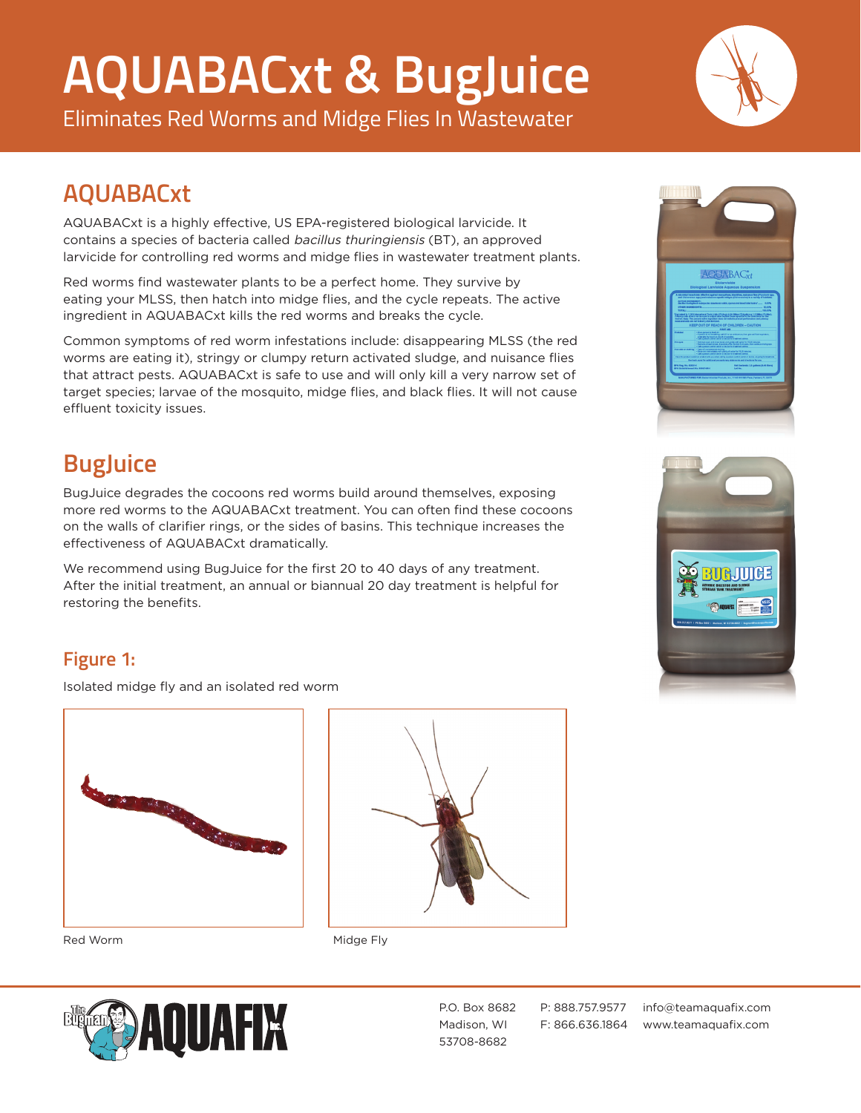# **AQUABACxt & BugJuice**

Eliminates Red Worms and Midge Flies In Wastewater



### **AQUABACxt**

AQUABACxt is a highly effective, US EPA-registered biological larvicide. It contains a species of bacteria called bacillus thuringiensis (BT), an approved larvicide for controlling red worms and midge flies in wastewater treatment plants.

Red worms find wastewater plants to be a perfect home. They survive by eating your MLSS, then hatch into midge flies, and the cycle repeats. The active ingredient in AQUABACxt kills the red worms and breaks the cycle.

Common symptoms of red worm infestations include: disappearing MLSS (the red worms are eating it), stringy or clumpy return activated sludge, and nuisance flies that attract pests. AQUABACxt is safe to use and will only kill a very narrow set of target species; larvae of the mosquito, midge flies, and black flies. It will not cause effluent toxicity issues.

## **BugJuice**

BugJuice degrades the cocoons red worms build around themselves, exposing more red worms to the AQUABACxt treatment. You can often find these cocoons on the walls of clarifier rings, or the sides of basins. This technique increases the effectiveness of AQUABACxt dramatically.

We recommend using BugJuice for the first 20 to 40 days of any treatment. After the initial treatment, an annual or biannual 20 day treatment is helpful for restoring the benefits.





#### **Figure 1:**

Isolated midge fly and an isolated red worm









53708-8682

P.O. Box 8682 P: 888.757.9577 info@teamaquafix.com Madison, WI F: 866.636.1864 www.teamaquafix.com